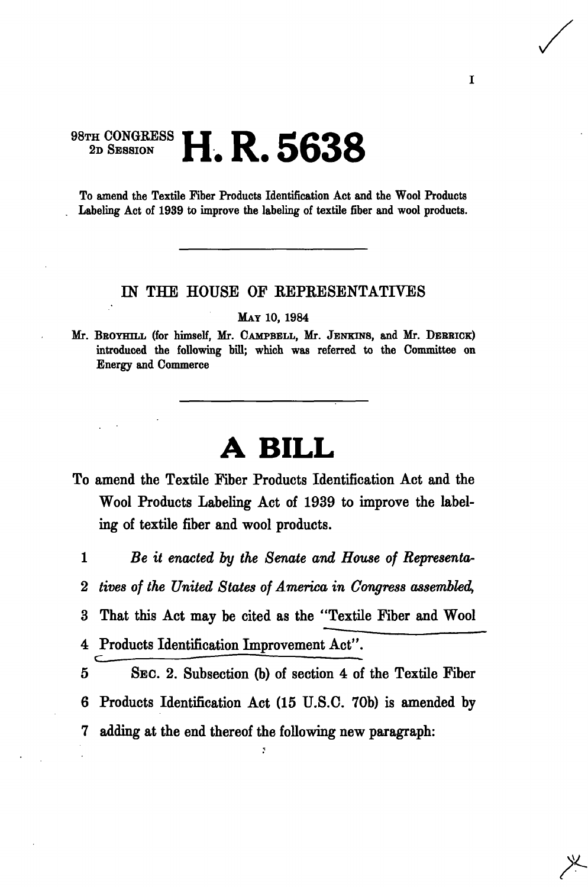## 98TH CONGRESS 2D SESSION **H. R. 5638**

To amend the Textile Fiber Products Identification Act and the Wool Products Labeling Act of 1939 to improve the labeling of textile fiber and wool products.

## IN THE HOUSE OF REPRESENTATIVES

MAY 10, 1984

Mr. BROYHILL (for himself, Mr. CAMPBELL, Mr. JENKINS, and Mr. DERRICK) introduced the following bill; which was referred to the Committee on Energy and Commerce

## **A BILL**

- To amend the Textile Fiber Products Identification Act and the Wool Products Labeling Act of 1939 to improve the labeling of textile fiber and wool products.
	- 1 *Be it enacted by the Senate and House of Representa-*
	- 2 *tives of the United States of America in Congress assembled,*
	- 3 That this Act may be cited as the "Textile Fiber and Wool
	- 4 Products Identification Improvement Act".
	- 5 SEC. 2. Subsection (b) of section 4 of the Textile Fiber 6 Products Identification Act (15 U.S.C. 70b) is amended by 7 adding at the end thereof the following new paragraph: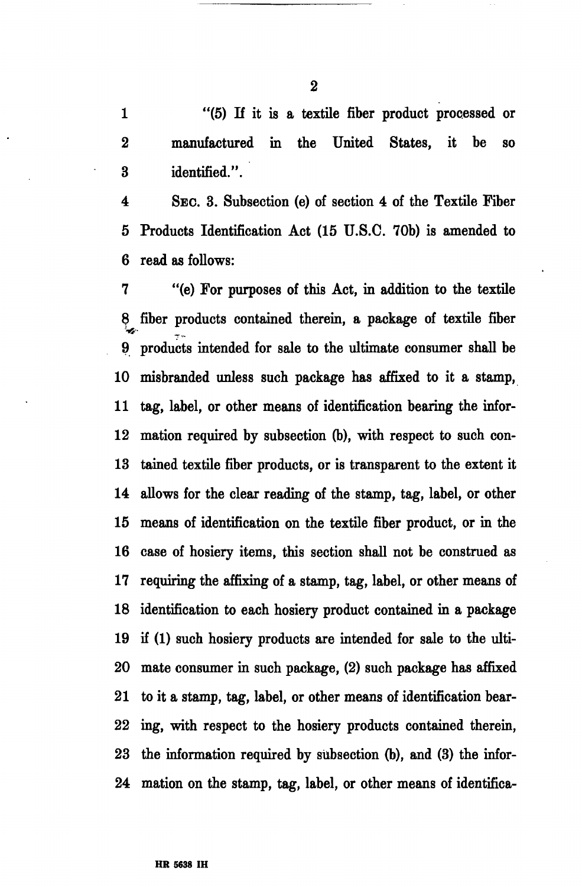1 "(5) If it is a textile fiber product processed or 2 manufactured in the United States, it be so 3 identified.".

4 SEC. 3. Subsection (e) of section 4 of the Textile Fiber 5 Products Identification Act (15 U.S.C. 70b) is amended to 6 read as follows:

7 "(e) For purposes of this Act, in addition to the textile 8 fiber products contained therein, a package of textile fiber 9 products intended for sale to the ultimate consumer shall be 10 misbranded unless such package has affixed to it a stamp, 11 tag, label, or other means of identification bearing the infor-12 mation required by subsection (b), with respect to such con-13 tained textile fiber products, or is transparent to the extent it 14 allows for the clear reading of the stamp, tag, label, or other 15 means of identification on the textile fiber product, or in the 16 case of hosiery items, this section shall not be construed as 17 requiring the affixing of a stamp, tag, label, or other means of 18 identification to each hosiery product contained in a package 19 if (1) such hosiery products are intended for sale to the ulti-20 mate consumer in such package, (2) such package has affixed 21 to it a stamp, tag, label, or other means of identification bear-22 ing, with respect to the hosiery products contained therein, 23 the information required by subsection (b), and (3) the infor-24 mation on the stamp, tag, label, or other means of identifica-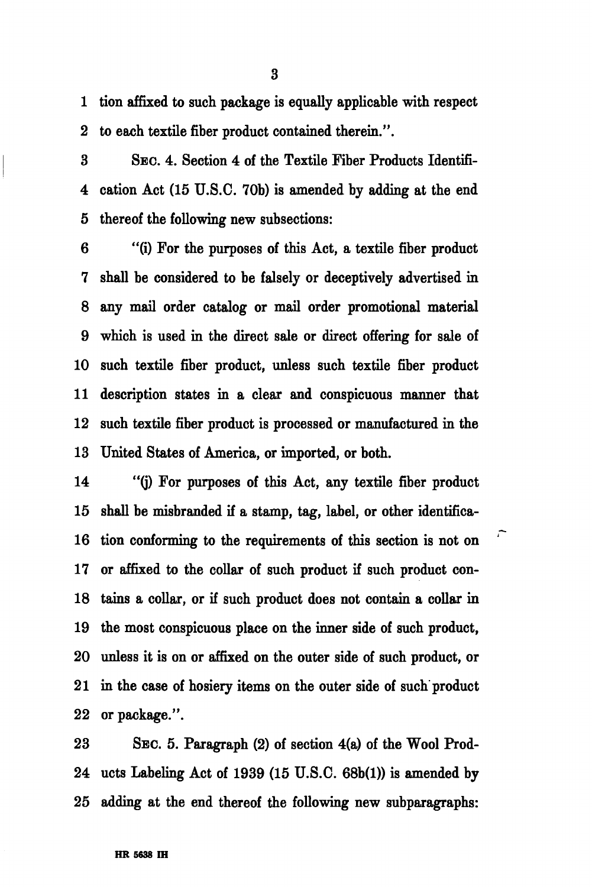1 tion affixed to such package is equally applicable with respect 2 to each textile fiber product contained therein.".

3 SEC. 4. Section 4 of the Textile Fiber Products Identifi-4 cation Act (15 U.S.C. 70b) is amended by adding at the end 5 thereof the following new subsections:

6 "(i) For the purposes of this Act, a textile fiber product 7 shall be considered to be falsely or deceptively advertised in 8 any mail order catalog or mail order promotional material 9 which is used in the direct sale or direct offering for sale of 10 such textile fiber product, unless such textile fiber product 11 description states in a clear and conspicuous manner that 12 such textile fiber product is processed or manufactured in the 13 United States of America, or imported, or both.

14 "(j) For purposes of this Act, any textile fiber product 15 shall be misbranded if a stamp, tag, label, or other identifica-16 tion conforming to the requirements of this section is not on 17 or affixed to the collar of such product if such product con-18 tains a collar, or if such product does not contain a collar in 19 the most conspicuous place on the inner side of such product, 20 unless it is on or affixed on the outer side of such product, or 21 in the case of hosiery items on the outer side of such product 22 or package.".

23 SEC. 5. Paragraph (2) of section 4(a) of the Wool Prod-24 ucts Labeling Act of 1939 (15 U.S.C. 68b(l)) is amended by 25 adding at the end thereof the following new subparagraphs:

3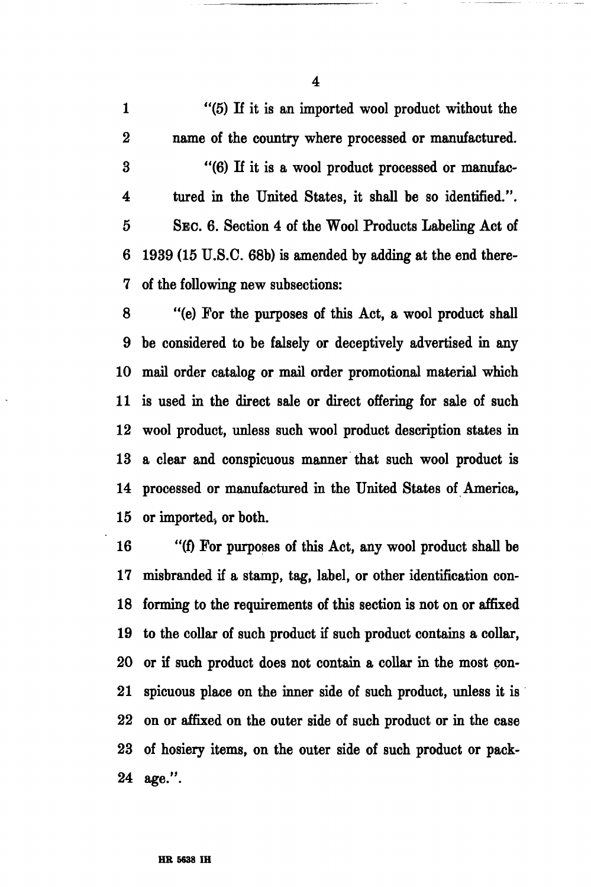1 "(5) If it is an imported wool product without the 2 name of the country where processed or manufactured. 3 "(6) If it is a wool product processed or manufac-4 tured in the United States, it shall he so identified.". 5 SEC. 6. Section 4 of the Wool Products Labeling Act of 6 1939 (15 U.S.C. 68b) is amended by adding at the end there-7 of the following new subsections:

8 "(e) For the purposes of this Act, a wool product shall 9 be considered to be falsely or deceptively advertised in any 10 mail order catalog or mail order promotional material which 11 is used in the direct sale or direct offering for sale of such 12 wool product, unless such wool product description states in 13 a clear and conspicuous manner that such wool product is 14 processed or manufactured in the United States of America, 15 or imported, or both.

16 "(f) For purposes of this Act, any wool product shall be 17 misbranded if a stamp, tag, label, or other identification con-18 forming to the requirements of this section is not on or affixed 19 to the collar of such product if such product contains a collar, 20 or if such product does not contain a collar in the most con-21 spicuous place on the inner side of such product, unless it is 22 on or affixed on the outer side of such product or in the case 23 of hosiery items, on the outer side of such product or pack-24 age.".

4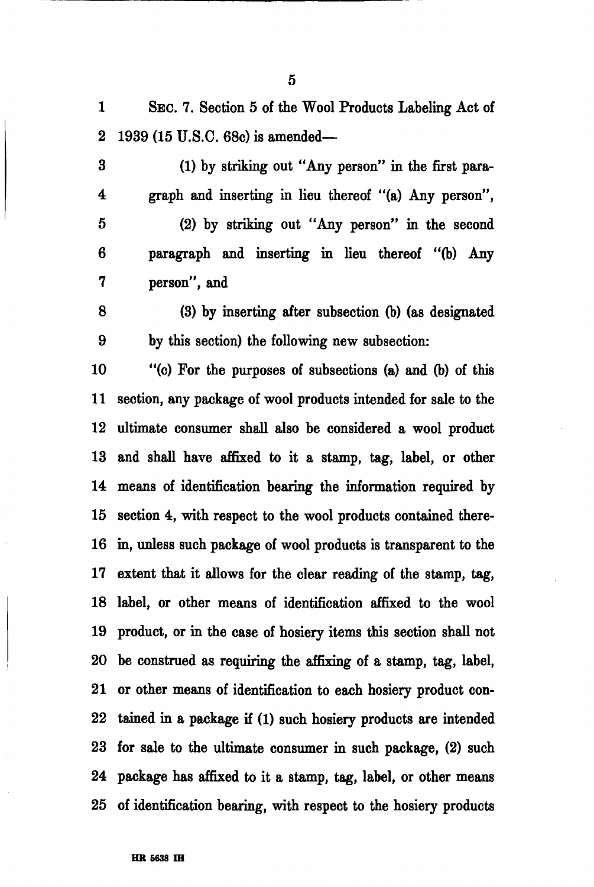1 SEC. 7. Section 5 of the Wool Products Labeling Act of 2 1939 (15 U.S.C. 68c) is amended—

3 (1) by striking out "Any person" in the first para-4 graph and inserting in lieu thereof "(a) Any person",

5 (2) by striking out "Any person" in the second 6 paragraph and inserting in lieu thereof "(b) Any 7 person", and

8 (3) by inserting after subsection (b) (as designated 9 by this section) the following new subsection:

10 "(c) For the purposes of subsections (a) and (b) of this 11 section, any package of wool products intended for sale to the 12 ultimate consumer shall also be considered a wool product 13 and shall have affixed to it a stamp, tag, label, or other 14 means of identification bearing the information required by 15 section 4, with respect to the wool products contained there-16 in, unless such package of wool products is transparent to the 17 extent that it allows for the clear reading of the stamp, tag, 18 label, or other means of identification affixed to the wool 19 product, or in the case of hosiery items this section shall not 20 be construed as requiring the affixing of a stamp, tag, label, 21 or other means of identification to each hosiery product con-22 tained in a package if (1) such hosiery products are intended 23 for sale to the ultimate consumer in such package, (2) such 24 package has affixed to it a stamp, tag, label, or other means 25 of identification bearing, with respect to the hosiery products